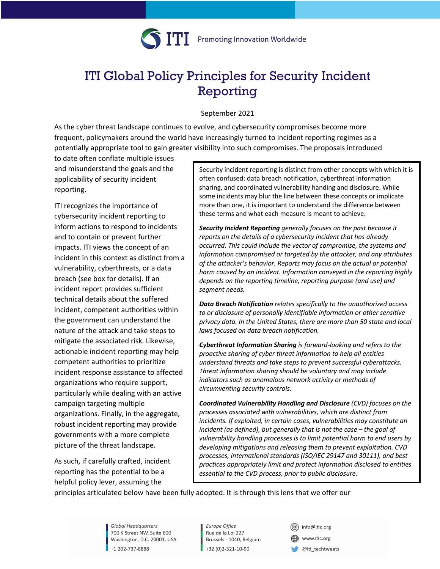

# ITI Global Policy Principles for Security Incident Reporting

September 2021

As the cyber threat landscape continues to evolve, and cybersecurity compromises become more frequent, policymakers around the world have increasingly turned to incident reporting regimes as a potentially appropriate tool to gain greater visibility into such compromises. The proposals introduced

to date often conflate multiple issues and misunderstand the goals and the applicability of security incident reporting.

ITI recognizes the importance of cybersecurity incident reporting to inform actions to respond to incidents and to contain or prevent further impacts. ITI views the concept of an incident in this context as distinct from a vulnerability, cyberthreats, or a data breach (see box for details). If an incident report provides sufficient technical details about the suffered incident, competent authorities within the government can understand the nature of the attack and take steps to mitigate the associated risk. Likewise, actionable incident reporting may help competent authorities to prioritize incident response assistance to affected organizations who require support, particularly while dealing with an active campaign targeting multiple organizations. Finally, in the aggregate, robust incident reporting may provide governments with a more complete picture of the threat landscape.

As such, if carefully crafted, incident reporting has the potential to be a helpful policy lever, assuming the

Security incident reporting is distinct from other concepts with which it is often confused: data breach notification, cyberthreat information sharing, and coordinated vulnerability handing and disclosure. While some incidents may blur the line between these concepts or implicate more than one, it is important to understand the difference between these terms and what each measure is meant to achieve.

*Security Incident Reporting generally focuses on the past because it reports on the details of a cybersecurity incident that has already occurred. This could include the vector of compromise, the systems and information compromised or targeted by the attacker, and any attributes of the attacker's behavior. Reports may focus on the actual or potential harm caused by an incident. Information conveyed in the reporting highly depends on the reporting timeline, reporting purpose (and use) and segment needs.*

*Data Breach Notification relates specifically to the unauthorized access to or disclosure of personally identifiable information or other sensitive privacy data. In the United States, there are more than 50 state and local laws focused on data breach notification.*

*Cyberthreat Information Sharing is forward-looking and refers to the proactive sharing of cyber threat information to help all entities understand threats and take steps to prevent successful cyberattacks. Threat information sharing should be voluntary and may include indicators such as anomalous network activity or methods of circumventing security controls.*

*Coordinated Vulnerability Handling and Disclosure (CVD) focuses on the processes associated with vulnerabilities, which are distinct from incidents. If exploited, in certain cases, vulnerabilities may constitute an incident (as defined), but generally that is not the case – the goal of vulnerability handling processes is to limit potential harm to end users by developing mitigations and releasing them to prevent exploitation. CVD processes, international standards (ISO/IEC 29147 and 30111), and best practices appropriately limit and protect information disclosed to entities essential to the CVD process, prior to public disclosure.*

principles articulated below have been fully adopted. It is through this lens that we offer our *Vul*

Global Headquarters 700 K Street NW, Suite 600 Washington, D.C. 20001, USA +1 202-737-8888

Europe Office Rue de la Loi 227 Brussels - 1040, Belgium +32 (0)2-321-10-90

(@) info@itic.org www.itic.org  $@$ iti\_techtweets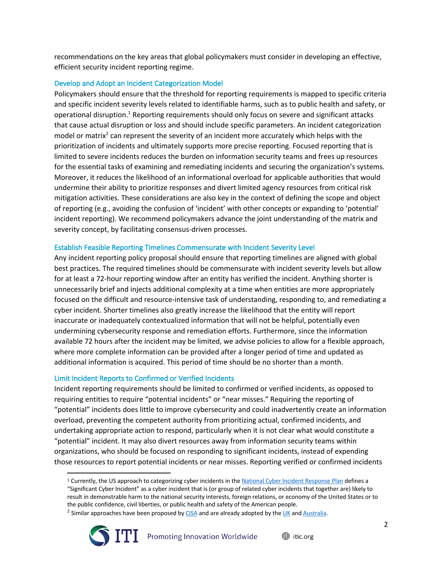recommendations on the key areas that global policymakers must consider in developing an effective, efficient security incident reporting regime.

## Develop and Adopt an Incident Categorization Model

Policymakers should ensure that the threshold for reporting requirements is mapped to specific criteria and specific incident severity levels related to identifiable harms, such as to public health and safety, or operational disruption.<sup>1</sup> Reporting requirements should only focus on severe and significant attacks that cause actual disruption or loss and should include specific parameters. An incident categorization model or matrix<sup>2</sup> can represent the severity of an incident more accurately which helps with the prioritization of incidents and ultimately supports more precise reporting. Focused reporting that is limited to severe incidents reduces the burden on information security teams and frees up resources for the essential tasks of examining and remediating incidents and securing the organization's systems. Moreover, it reduces the likelihood of an informational overload for applicable authorities that would undermine their ability to prioritize responses and divert limited agency resources from critical risk mitigation activities. These considerations are also key in the context of defining the scope and object of reporting (e.g., avoiding the confusion of 'incident' with other concepts or expanding to 'potential' incident reporting). We recommend policymakers advance the joint understanding of the matrix and severity concept, by facilitating consensus-driven processes.

## Establish Feasible Reporting Timelines Commensurate with Incident Severity Level

Any incident reporting policy proposal should ensure that reporting timelines are aligned with global best practices. The required timelines should be commensurate with incident severity levels but allow for at least a 72-hour reporting window after an entity has verified the incident. Anything shorter is unnecessarily brief and injects additional complexity at a time when entities are more appropriately focused on the difficult and resource-intensive task of understanding, responding to, and remediating a cyber incident. Shorter timelines also greatly increase the likelihood that the entity will report inaccurate or inadequately contextualized information that will not be helpful, potentially even undermining cybersecurity response and remediation efforts. Furthermore, since the information available 72 hours after the incident may be limited, we advise policies to allow for a flexible approach, where more complete information can be provided after a longer period of time and updated as additional information is acquired. This period of time should be no shorter than a month.

## Limit Incident Reports to Confirmed or Verified Incidents

Incident reporting requirements should be limited to confirmed or verified incidents, as opposed to requiring entities to require "potential incidents" or "near misses." Requiring the reporting of "potential" incidents does little to improve cybersecurity and could inadvertently create an information overload, preventing the competent authority from prioritizing actual, confirmed incidents, and undertaking appropriate action to respond, particularly when it is not clear what would constitute a "potential" incident. It may also divert resources away from information security teams within organizations, who should be focused on responding to significant incidents, instead of expending those resources to report potential incidents or near misses. Reporting verified or confirmed incidents

<sup>&</sup>lt;sup>2</sup> Similar approaches have been proposed by  $CISA$  and are already adopted by the UK and Australia.



<sup>&</sup>lt;sup>1</sup> Currently, the US approach to categorizing cyber incidents in the National Cyber Incident Response Plan defines a "Significant Cyber Incident" as a cyber incident that is (or group of related cyber incidents that together are) likely to result in demonstrable harm to the national security interests, foreign relations, or economy of the United States or to the public confidence, civil liberties, or public health and safety of the American people.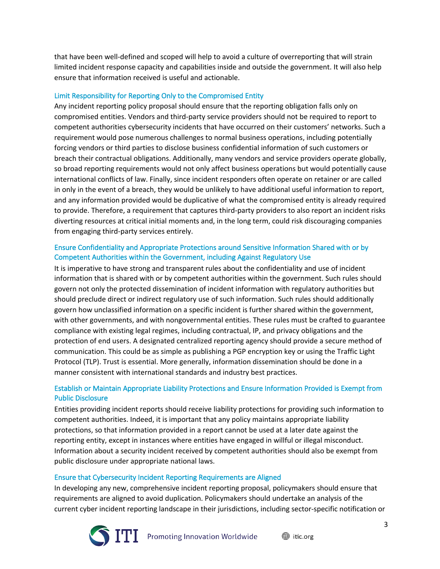that have been well-defined and scoped will help to avoid a culture of overreporting that will strain limited incident response capacity and capabilities inside and outside the government. It will also help ensure that information received is useful and actionable.

## Limit Responsibility for Reporting Only to the Compromised Entity

Any incident reporting policy proposal should ensure that the reporting obligation falls only on compromised entities. Vendors and third-party service providers should not be required to report to competent authorities cybersecurity incidents that have occurred on their customers' networks. Such a requirement would pose numerous challenges to normal business operations, including potentially forcing vendors or third parties to disclose business confidential information of such customers or breach their contractual obligations. Additionally, many vendors and service providers operate globally, so broad reporting requirements would not only affect business operations but would potentially cause international conflicts of law. Finally, since incident responders often operate on retainer or are called in only in the event of a breach, they would be unlikely to have additional useful information to report, and any information provided would be duplicative of what the compromised entity is already required to provide. Therefore, a requirement that captures third-party providers to also report an incident risks diverting resources at critical initial moments and, in the long term, could risk discouraging companies from engaging third-party services entirely.

## Ensure Confidentiality and Appropriate Protections around Sensitive Information Shared with or by Competent Authorities within the Government, including Against Regulatory Use

It is imperative to have strong and transparent rules about the confidentiality and use of incident information that is shared with or by competent authorities within the government. Such rules should govern not only the protected dissemination of incident information with regulatory authorities but should preclude direct or indirect regulatory use of such information. Such rules should additionally govern how unclassified information on a specific incident is further shared within the government, with other governments, and with nongovernmental entities. These rules must be crafted to guarantee compliance with existing legal regimes, including contractual, IP, and privacy obligations and the protection of end users. A designated centralized reporting agency should provide a secure method of communication. This could be as simple as publishing a PGP encryption key or using the Traffic Light Protocol (TLP). Trust is essential. More generally, information dissemination should be done in a manner consistent with international standards and industry best practices.

## Establish or Maintain Appropriate Liability Protections and Ensure Information Provided is Exempt from Public Disclosure

Entities providing incident reports should receive liability protections for providing such information to competent authorities. Indeed, it is important that any policy maintains appropriate liability protections, so that information provided in a report cannot be used at a later date against the reporting entity, except in instances where entities have engaged in willful or illegal misconduct. Information about a security incident received by competent authorities should also be exempt from public disclosure under appropriate national laws.

## Ensure that Cybersecurity Incident Reporting Requirements are Aligned

In developing any new, comprehensive incident reporting proposal, policymakers should ensure that requirements are aligned to avoid duplication. Policymakers should undertake an analysis of the current cyber incident reporting landscape in their jurisdictions, including sector-specific notification or